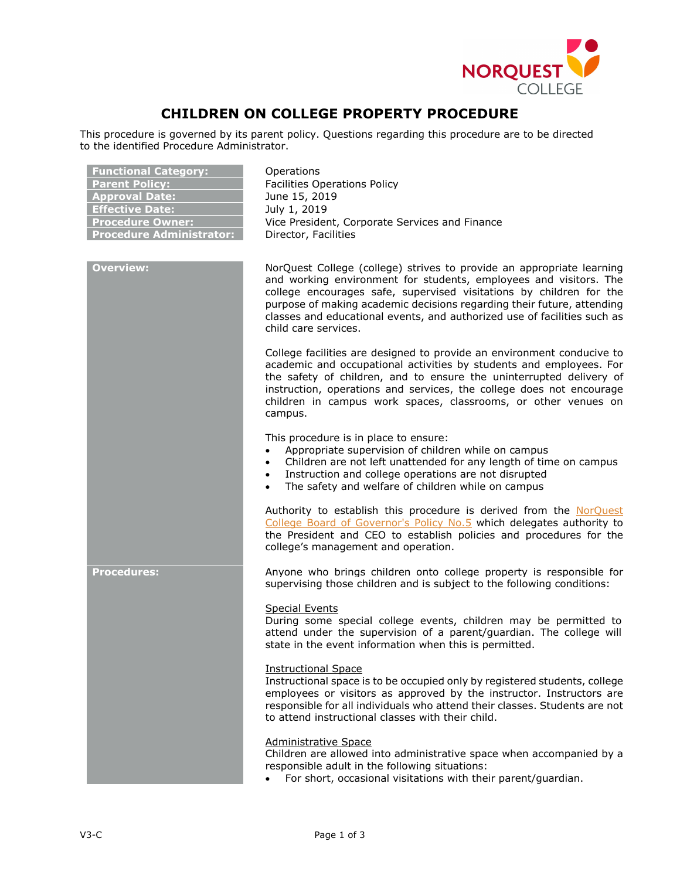

# **CHILDREN ON COLLEGE PROPERTY PROCEDURE**

This procedure is governed by its parent policy. Questions regarding this procedure are to be directed to the identified Procedure Administrator.

| <b>Functional Category:</b><br><b>Parent Policy:</b><br><b>Approval Date:</b><br><b>Effective Date:</b><br><b>Procedure Owner:</b><br><b>Procedure Administrator:</b> | Operations<br><b>Facilities Operations Policy</b><br>June 15, 2019<br>July 1, 2019<br>Vice President, Corporate Services and Finance<br>Director, Facilities                                                                                                                                                                                                                                    |
|-----------------------------------------------------------------------------------------------------------------------------------------------------------------------|-------------------------------------------------------------------------------------------------------------------------------------------------------------------------------------------------------------------------------------------------------------------------------------------------------------------------------------------------------------------------------------------------|
| <b>Overview:</b>                                                                                                                                                      | NorQuest College (college) strives to provide an appropriate learning<br>and working environment for students, employees and visitors. The<br>college encourages safe, supervised visitations by children for the<br>purpose of making academic decisions regarding their future, attending<br>classes and educational events, and authorized use of facilities such as<br>child care services. |
|                                                                                                                                                                       | College facilities are designed to provide an environment conducive to<br>academic and occupational activities by students and employees. For<br>the safety of children, and to ensure the uninterrupted delivery of<br>instruction, operations and services, the college does not encourage<br>children in campus work spaces, classrooms, or other venues on<br>campus.                       |
|                                                                                                                                                                       | This procedure is in place to ensure:<br>Appropriate supervision of children while on campus<br>$\bullet$<br>Children are not left unattended for any length of time on campus<br>$\bullet$<br>Instruction and college operations are not disrupted<br>$\bullet$<br>The safety and welfare of children while on campus                                                                          |
|                                                                                                                                                                       | Authority to establish this procedure is derived from the NorQuest<br>College Board of Governor's Policy No.5 which delegates authority to<br>the President and CEO to establish policies and procedures for the<br>college's management and operation.                                                                                                                                         |
| <b>Procedures:</b>                                                                                                                                                    | Anyone who brings children onto college property is responsible for<br>supervising those children and is subject to the following conditions:                                                                                                                                                                                                                                                   |
|                                                                                                                                                                       | <b>Special Events</b><br>During some special college events, children may be permitted to<br>attend under the supervision of a parent/guardian. The college will<br>state in the event information when this is permitted.                                                                                                                                                                      |
|                                                                                                                                                                       | <b>Instructional Space</b><br>Instructional space is to be occupied only by registered students, college<br>employees or visitors as approved by the instructor. Instructors are<br>responsible for all individuals who attend their classes. Students are not<br>to attend instructional classes with their child.                                                                             |
|                                                                                                                                                                       | <b>Administrative Space</b><br>Children are allowed into administrative space when accompanied by a<br>responsible adult in the following situations:<br>For short, occasional visitations with their parent/guardian.                                                                                                                                                                          |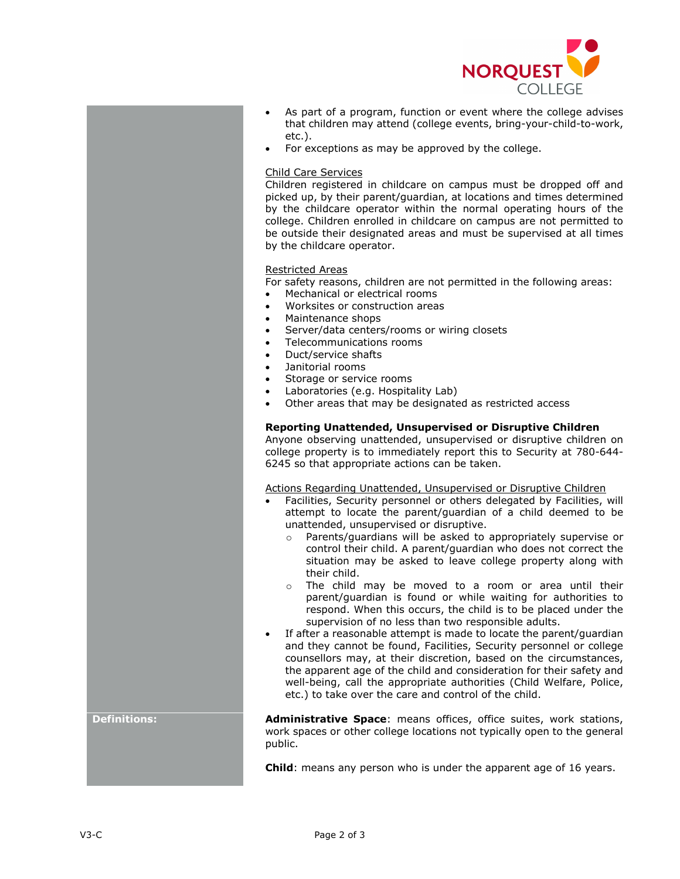

- As part of a program, function or event where the college advises that children may attend (college events, bring-your-child-to-work, etc.).
- For exceptions as may be approved by the college.

### Child Care Services

Children registered in childcare on campus must be dropped off and picked up, by their parent/guardian, at locations and times determined by the childcare operator within the normal operating hours of the college. Children enrolled in childcare on campus are not permitted to be outside their designated areas and must be supervised at all times by the childcare operator.

### Restricted Areas

For safety reasons, children are not permitted in the following areas:

- Mechanical or electrical rooms
- Worksites or construction areas
- Maintenance shops
- Server/data centers/rooms or wiring closets
- Telecommunications rooms
- Duct/service shafts
- Janitorial rooms
- Storage or service rooms
- Laboratories (e.g. Hospitality Lab)
- Other areas that may be designated as restricted access

## **Reporting Unattended, Unsupervised or Disruptive Children**

Anyone observing unattended, unsupervised or disruptive children on college property is to immediately report this to Security at 780-644- 6245 so that appropriate actions can be taken.

Actions Regarding Unattended, Unsupervised or Disruptive Children

- Facilities, Security personnel or others delegated by Facilities, will attempt to locate the parent/guardian of a child deemed to be unattended, unsupervised or disruptive.
	- o Parents/guardians will be asked to appropriately supervise or control their child. A parent/guardian who does not correct the situation may be asked to leave college property along with their child.
	- o The child may be moved to a room or area until their parent/guardian is found or while waiting for authorities to respond. When this occurs, the child is to be placed under the supervision of no less than two responsible adults.
- If after a reasonable attempt is made to locate the parent/guardian and they cannot be found, Facilities, Security personnel or college counsellors may, at their discretion, based on the circumstances, the apparent age of the child and consideration for their safety and well-being, call the appropriate authorities (Child Welfare, Police, etc.) to take over the care and control of the child.

**Definitions: Administrative Space**: means offices, office suites, work stations, work spaces or other college locations not typically open to the general public.

**Child**: means any person who is under the apparent age of 16 years.